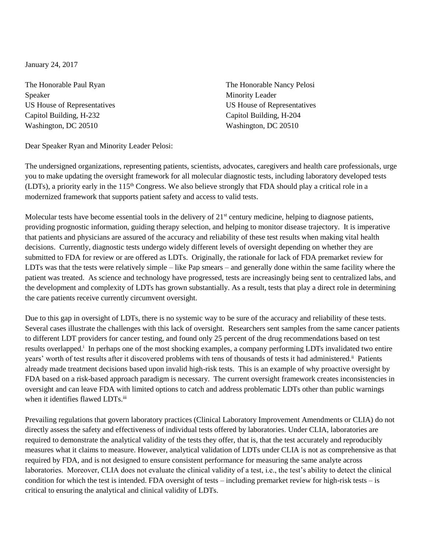January 24, 2017

Speaker Minority Leader Minority Leader Capitol Building, H-232 Capitol Building, H-204 Washington, DC 20510 Washington, DC 20510

The Honorable Paul Ryan The Honorable Nancy Pelosi US House of Representatives US House of Representatives

Dear Speaker Ryan and Minority Leader Pelosi:

The undersigned organizations, representing patients, scientists, advocates, caregivers and health care professionals, urge you to make updating the oversight framework for all molecular diagnostic tests, including laboratory developed tests (LDTs), a priority early in the 115<sup>th</sup> Congress. We also believe strongly that FDA should play a critical role in a modernized framework that supports patient safety and access to valid tests.

Molecular tests have become essential tools in the delivery of  $21<sup>st</sup>$  century medicine, helping to diagnose patients, providing prognostic information, guiding therapy selection, and helping to monitor disease trajectory. It is imperative that patients and physicians are assured of the accuracy and reliability of these test results when making vital health decisions. Currently, diagnostic tests undergo widely different levels of oversight depending on whether they are submitted to FDA for review or are offered as LDTs. Originally, the rationale for lack of FDA premarket review for LDTs was that the tests were relatively simple – like Pap smears – and generally done within the same facility where the patient was treated. As science and technology have progressed, tests are increasingly being sent to centralized labs, and the development and complexity of LDTs has grown substantially. As a result, tests that play a direct role in determining the care patients receive currently circumvent oversight.

Due to this gap in oversight of LDTs, there is no systemic way to be sure of the accuracy and reliability of these tests. Several cases illustrate the challenges with this lack of oversight. Researchers sent samples from the same cancer patients to different LDT providers for cancer testing, and found only 25 percent of the drug recommendations based on test results overlapped.<sup>i</sup> In perhaps one of the most shocking examples, a company performing LDTs invalidated two entire years' worth of test results after it discovered problems with tens of thousands of tests it had administered.<sup>ii</sup> Patients already made treatment decisions based upon invalid high-risk tests. This is an example of why proactive oversight by FDA based on a risk-based approach paradigm is necessary. The current oversight framework creates inconsistencies in oversight and can leave FDA with limited options to catch and address problematic LDTs other than public warnings when it identifies flawed LDTs.iii

Prevailing regulations that govern laboratory practices (Clinical Laboratory Improvement Amendments or CLIA) do not directly assess the safety and effectiveness of individual tests offered by laboratories. Under CLIA, laboratories are required to demonstrate the analytical validity of the tests they offer, that is, that the test accurately and reproducibly measures what it claims to measure. However, analytical validation of LDTs under CLIA is not as comprehensive as that required by FDA, and is not designed to ensure consistent performance for measuring the same analyte across laboratories. Moreover, CLIA does not evaluate the clinical validity of a test, i.e., the test's ability to detect the clinical condition for which the test is intended. FDA oversight of tests – including premarket review for high-risk tests – is critical to ensuring the analytical and clinical validity of LDTs.